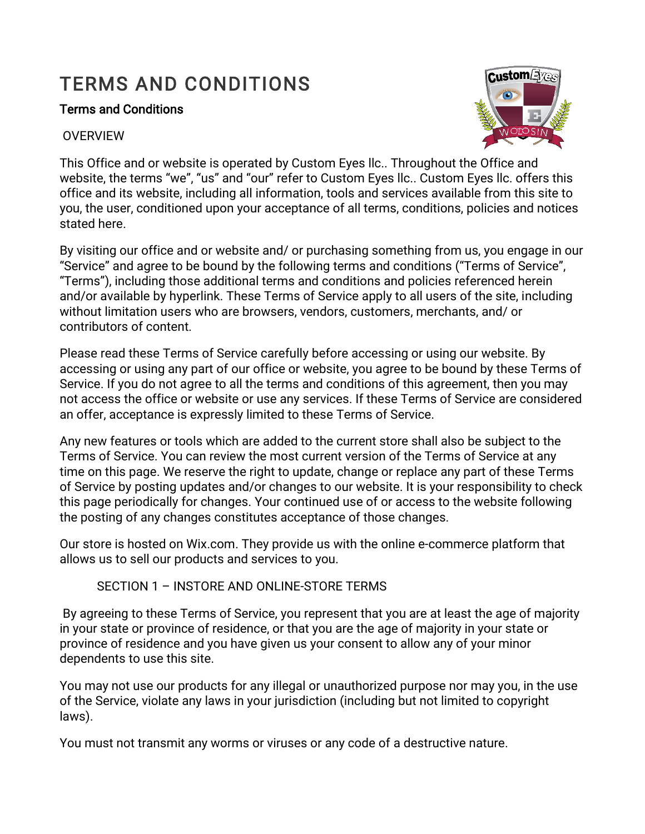# TERMS AND CONDITIONS

## Terms and Conditions

## **OVERVIEW**



This Office and or website is operated by Custom Eyes llc.. Throughout the Office and website, the terms "we", "us" and "our" refer to Custom Eyes llc.. Custom Eyes llc. offers this office and its website, including all information, tools and services available from this site to you, the user, conditioned upon your acceptance of all terms, conditions, policies and notices stated here.

By visiting our office and or website and/ or purchasing something from us, you engage in our "Service" and agree to be bound by the following terms and conditions ("Terms of Service", "Terms"), including those additional terms and conditions and policies referenced herein and/or available by hyperlink. These Terms of Service apply to all users of the site, including without limitation users who are browsers, vendors, customers, merchants, and/ or contributors of content.

Please read these Terms of Service carefully before accessing or using our website. By accessing or using any part of our office or website, you agree to be bound by these Terms of Service. If you do not agree to all the terms and conditions of this agreement, then you may not access the office or website or use any services. If these Terms of Service are considered an offer, acceptance is expressly limited to these Terms of Service.

Any new features or tools which are added to the current store shall also be subject to the Terms of Service. You can review the most current version of the Terms of Service at any time on this page. We reserve the right to update, change or replace any part of these Terms of Service by posting updates and/or changes to our website. It is your responsibility to check this page periodically for changes. Your continued use of or access to the website following the posting of any changes constitutes acceptance of those changes.

Our store is hosted on Wix.com. They provide us with the online e-commerce platform that allows us to sell our products and services to you.

SECTION 1 – INSTORE AND ONLINE-STORE TERMS

By agreeing to these Terms of Service, you represent that you are at least the age of majority in your state or province of residence, or that you are the age of majority in your state or province of residence and you have given us your consent to allow any of your minor dependents to use this site.

You may not use our products for any illegal or unauthorized purpose nor may you, in the use of the Service, violate any laws in your jurisdiction (including but not limited to copyright laws).

You must not transmit any worms or viruses or any code of a destructive nature.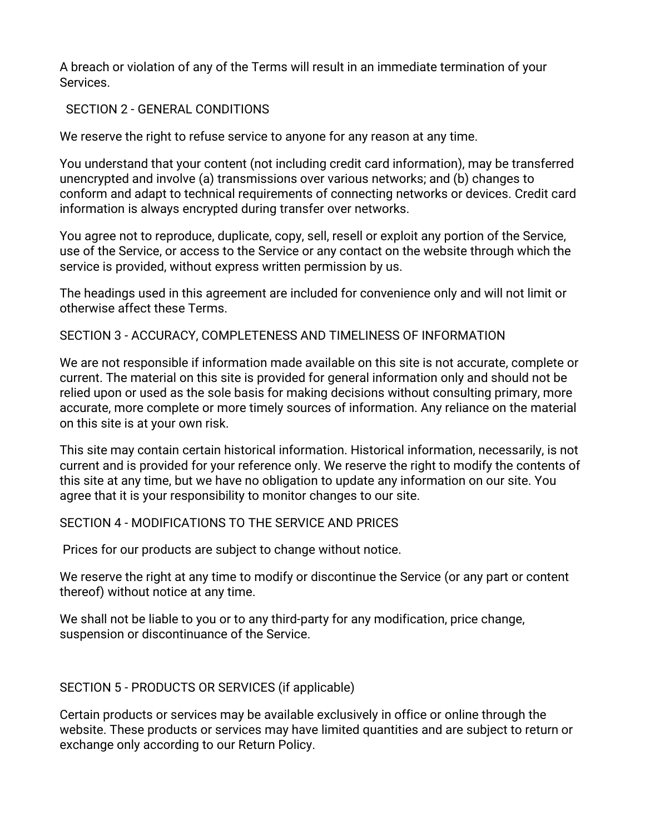A breach or violation of any of the Terms will result in an immediate termination of your Services.

## SECTION 2 - GENERAL CONDITIONS

We reserve the right to refuse service to anyone for any reason at any time.

You understand that your content (not including credit card information), may be transferred unencrypted and involve (a) transmissions over various networks; and (b) changes to conform and adapt to technical requirements of connecting networks or devices. Credit card information is always encrypted during transfer over networks.

You agree not to reproduce, duplicate, copy, sell, resell or exploit any portion of the Service, use of the Service, or access to the Service or any contact on the website through which the service is provided, without express written permission by us.

The headings used in this agreement are included for convenience only and will not limit or otherwise affect these Terms.

SECTION 3 - ACCURACY, COMPLETENESS AND TIMELINESS OF INFORMATION

We are not responsible if information made available on this site is not accurate, complete or current. The material on this site is provided for general information only and should not be relied upon or used as the sole basis for making decisions without consulting primary, more accurate, more complete or more timely sources of information. Any reliance on the material on this site is at your own risk.

This site may contain certain historical information. Historical information, necessarily, is not current and is provided for your reference only. We reserve the right to modify the contents of this site at any time, but we have no obligation to update any information on our site. You agree that it is your responsibility to monitor changes to our site.

SECTION 4 - MODIFICATIONS TO THE SERVICE AND PRICES

Prices for our products are subject to change without notice.

We reserve the right at any time to modify or discontinue the Service (or any part or content thereof) without notice at any time.

We shall not be liable to you or to any third-party for any modification, price change, suspension or discontinuance of the Service.

SECTION 5 - PRODUCTS OR SERVICES (if applicable)

Certain products or services may be available exclusively in office or online through the website. These products or services may have limited quantities and are subject to return or exchange only according to our Return Policy.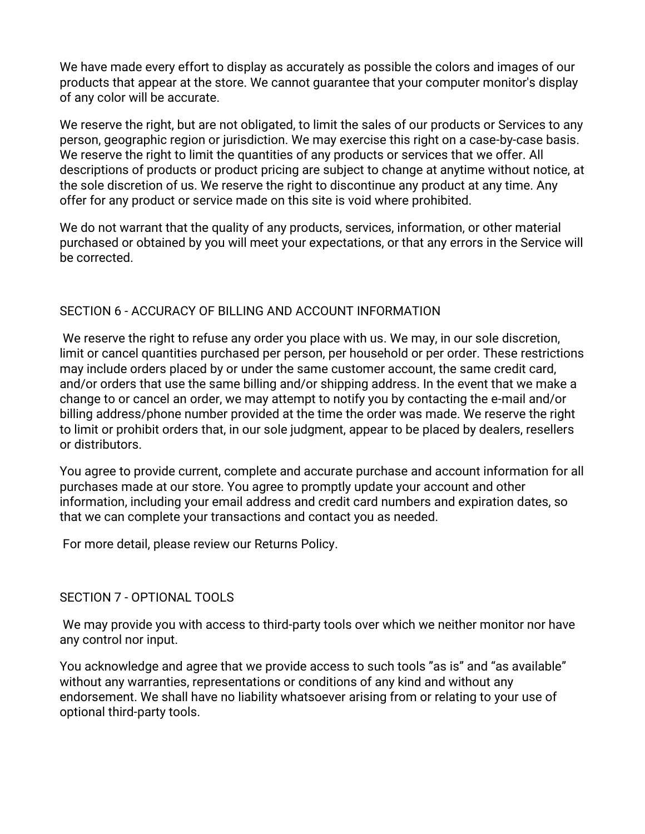We have made every effort to display as accurately as possible the colors and images of our products that appear at the store. We cannot guarantee that your computer monitor's display of any color will be accurate.

We reserve the right, but are not obligated, to limit the sales of our products or Services to any person, geographic region or jurisdiction. We may exercise this right on a case-by-case basis. We reserve the right to limit the quantities of any products or services that we offer. All descriptions of products or product pricing are subject to change at anytime without notice, at the sole discretion of us. We reserve the right to discontinue any product at any time. Any offer for any product or service made on this site is void where prohibited.

We do not warrant that the quality of any products, services, information, or other material purchased or obtained by you will meet your expectations, or that any errors in the Service will be corrected.

## SECTION 6 - ACCURACY OF BILLING AND ACCOUNT INFORMATION

We reserve the right to refuse any order you place with us. We may, in our sole discretion, limit or cancel quantities purchased per person, per household or per order. These restrictions may include orders placed by or under the same customer account, the same credit card, and/or orders that use the same billing and/or shipping address. In the event that we make a change to or cancel an order, we may attempt to notify you by contacting the e-mail and/or billing address/phone number provided at the time the order was made. We reserve the right to limit or prohibit orders that, in our sole judgment, appear to be placed by dealers, resellers or distributors.

You agree to provide current, complete and accurate purchase and account information for all purchases made at our store. You agree to promptly update your account and other information, including your email address and credit card numbers and expiration dates, so that we can complete your transactions and contact you as needed.

For more detail, please review our Returns Policy.

#### SECTION 7 - OPTIONAL TOOLS

We may provide you with access to third-party tools over which we neither monitor nor have any control nor input.

You acknowledge and agree that we provide access to such tools "as is" and "as available" without any warranties, representations or conditions of any kind and without any endorsement. We shall have no liability whatsoever arising from or relating to your use of optional third-party tools.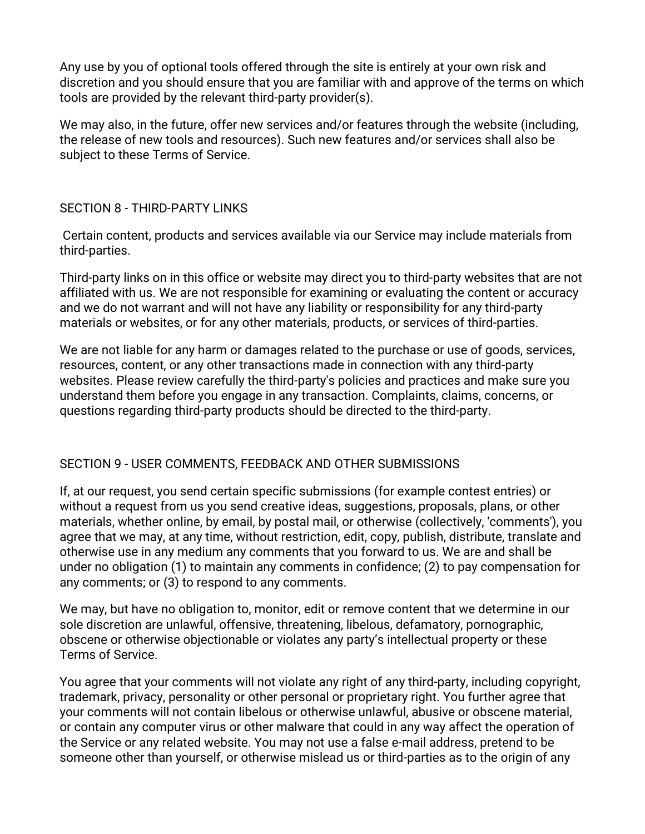Any use by you of optional tools offered through the site is entirely at your own risk and discretion and you should ensure that you are familiar with and approve of the terms on which tools are provided by the relevant third-party provider(s).

We may also, in the future, offer new services and/or features through the website (including, the release of new tools and resources). Such new features and/or services shall also be subject to these Terms of Service.

#### SECTION 8 - THIRD-PARTY LINKS

Certain content, products and services available via our Service may include materials from third-parties.

Third-party links on in this office or website may direct you to third-party websites that are not affiliated with us. We are not responsible for examining or evaluating the content or accuracy and we do not warrant and will not have any liability or responsibility for any third-party materials or websites, or for any other materials, products, or services of third-parties.

We are not liable for any harm or damages related to the purchase or use of goods, services, resources, content, or any other transactions made in connection with any third-party websites. Please review carefully the third-party's policies and practices and make sure you understand them before you engage in any transaction. Complaints, claims, concerns, or questions regarding third-party products should be directed to the third-party.

## SECTION 9 - USER COMMENTS, FEEDBACK AND OTHER SUBMISSIONS

If, at our request, you send certain specific submissions (for example contest entries) or without a request from us you send creative ideas, suggestions, proposals, plans, or other materials, whether online, by email, by postal mail, or otherwise (collectively, 'comments'), you agree that we may, at any time, without restriction, edit, copy, publish, distribute, translate and otherwise use in any medium any comments that you forward to us. We are and shall be under no obligation (1) to maintain any comments in confidence; (2) to pay compensation for any comments; or (3) to respond to any comments.

We may, but have no obligation to, monitor, edit or remove content that we determine in our sole discretion are unlawful, offensive, threatening, libelous, defamatory, pornographic, obscene or otherwise objectionable or violates any party's intellectual property or these Terms of Service.

You agree that your comments will not violate any right of any third-party, including copyright, trademark, privacy, personality or other personal or proprietary right. You further agree that your comments will not contain libelous or otherwise unlawful, abusive or obscene material, or contain any computer virus or other malware that could in any way affect the operation of the Service or any related website. You may not use a false e-mail address, pretend to be someone other than yourself, or otherwise mislead us or third-parties as to the origin of any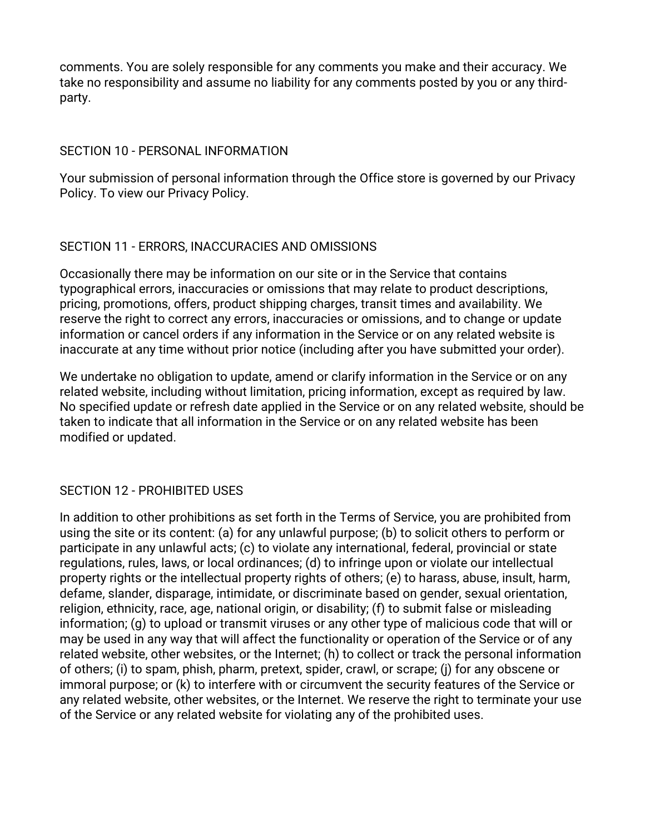comments. You are solely responsible for any comments you make and their accuracy. We take no responsibility and assume no liability for any comments posted by you or any thirdparty.

#### SECTION 10 - PERSONAL INFORMATION

Your submission of personal information through the Office store is governed by our Privacy Policy. To view our Privacy Policy.

#### SECTION 11 - ERRORS, INACCURACIES AND OMISSIONS

Occasionally there may be information on our site or in the Service that contains typographical errors, inaccuracies or omissions that may relate to product descriptions, pricing, promotions, offers, product shipping charges, transit times and availability. We reserve the right to correct any errors, inaccuracies or omissions, and to change or update information or cancel orders if any information in the Service or on any related website is inaccurate at any time without prior notice (including after you have submitted your order).

We undertake no obligation to update, amend or clarify information in the Service or on any related website, including without limitation, pricing information, except as required by law. No specified update or refresh date applied in the Service or on any related website, should be taken to indicate that all information in the Service or on any related website has been modified or updated.

## SECTION 12 - PROHIBITED USES

In addition to other prohibitions as set forth in the Terms of Service, you are prohibited from using the site or its content: (a) for any unlawful purpose; (b) to solicit others to perform or participate in any unlawful acts; (c) to violate any international, federal, provincial or state regulations, rules, laws, or local ordinances; (d) to infringe upon or violate our intellectual property rights or the intellectual property rights of others; (e) to harass, abuse, insult, harm, defame, slander, disparage, intimidate, or discriminate based on gender, sexual orientation, religion, ethnicity, race, age, national origin, or disability; (f) to submit false or misleading information; (g) to upload or transmit viruses or any other type of malicious code that will or may be used in any way that will affect the functionality or operation of the Service or of any related website, other websites, or the Internet; (h) to collect or track the personal information of others; (i) to spam, phish, pharm, pretext, spider, crawl, or scrape; (j) for any obscene or immoral purpose; or (k) to interfere with or circumvent the security features of the Service or any related website, other websites, or the Internet. We reserve the right to terminate your use of the Service or any related website for violating any of the prohibited uses.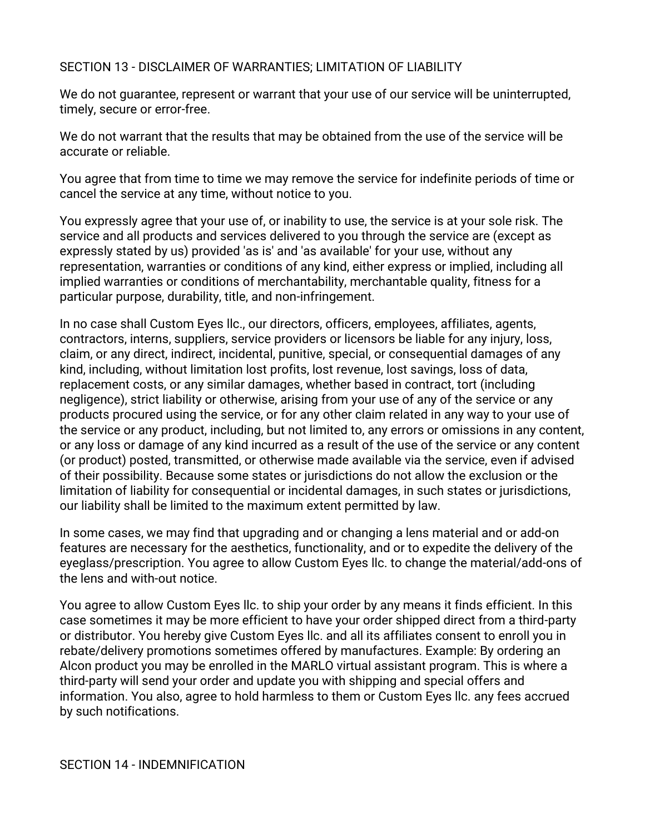#### SECTION 13 - DISCLAIMER OF WARRANTIES; LIMITATION OF LIABILITY

We do not guarantee, represent or warrant that your use of our service will be uninterrupted, timely, secure or error-free.

We do not warrant that the results that may be obtained from the use of the service will be accurate or reliable.

You agree that from time to time we may remove the service for indefinite periods of time or cancel the service at any time, without notice to you.

You expressly agree that your use of, or inability to use, the service is at your sole risk. The service and all products and services delivered to you through the service are (except as expressly stated by us) provided 'as is' and 'as available' for your use, without any representation, warranties or conditions of any kind, either express or implied, including all implied warranties or conditions of merchantability, merchantable quality, fitness for a particular purpose, durability, title, and non-infringement.

In no case shall Custom Eyes llc., our directors, officers, employees, affiliates, agents, contractors, interns, suppliers, service providers or licensors be liable for any injury, loss, claim, or any direct, indirect, incidental, punitive, special, or consequential damages of any kind, including, without limitation lost profits, lost revenue, lost savings, loss of data, replacement costs, or any similar damages, whether based in contract, tort (including negligence), strict liability or otherwise, arising from your use of any of the service or any products procured using the service, or for any other claim related in any way to your use of the service or any product, including, but not limited to, any errors or omissions in any content, or any loss or damage of any kind incurred as a result of the use of the service or any content (or product) posted, transmitted, or otherwise made available via the service, even if advised of their possibility. Because some states or jurisdictions do not allow the exclusion or the limitation of liability for consequential or incidental damages, in such states or jurisdictions, our liability shall be limited to the maximum extent permitted by law.

In some cases, we may find that upgrading and or changing a lens material and or add-on features are necessary for the aesthetics, functionality, and or to expedite the delivery of the eyeglass/prescription. You agree to allow Custom Eyes llc. to change the material/add-ons of the lens and with-out notice.

You agree to allow Custom Eyes llc. to ship your order by any means it finds efficient. In this case sometimes it may be more efficient to have your order shipped direct from a third-party or distributor. You hereby give Custom Eyes llc. and all its affiliates consent to enroll you in rebate/delivery promotions sometimes offered by manufactures. Example: By ordering an Alcon product you may be enrolled in the MARLO virtual assistant program. This is where a third-party will send your order and update you with shipping and special offers and information. You also, agree to hold harmless to them or Custom Eyes llc. any fees accrued by such notifications.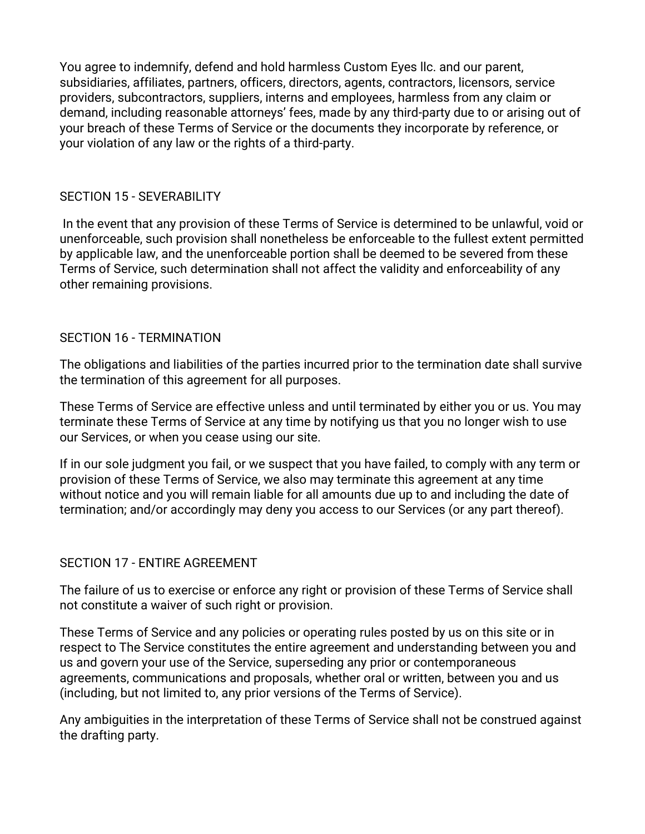You agree to indemnify, defend and hold harmless Custom Eyes llc. and our parent, subsidiaries, affiliates, partners, officers, directors, agents, contractors, licensors, service providers, subcontractors, suppliers, interns and employees, harmless from any claim or demand, including reasonable attorneys' fees, made by any third-party due to or arising out of your breach of these Terms of Service or the documents they incorporate by reference, or your violation of any law or the rights of a third-party.

#### SECTION 15 - SEVERABILITY

In the event that any provision of these Terms of Service is determined to be unlawful, void or unenforceable, such provision shall nonetheless be enforceable to the fullest extent permitted by applicable law, and the unenforceable portion shall be deemed to be severed from these Terms of Service, such determination shall not affect the validity and enforceability of any other remaining provisions.

#### SECTION 16 - TERMINATION

The obligations and liabilities of the parties incurred prior to the termination date shall survive the termination of this agreement for all purposes.

These Terms of Service are effective unless and until terminated by either you or us. You may terminate these Terms of Service at any time by notifying us that you no longer wish to use our Services, or when you cease using our site.

If in our sole judgment you fail, or we suspect that you have failed, to comply with any term or provision of these Terms of Service, we also may terminate this agreement at any time without notice and you will remain liable for all amounts due up to and including the date of termination; and/or accordingly may deny you access to our Services (or any part thereof).

## SECTION 17 - ENTIRE AGREEMENT

The failure of us to exercise or enforce any right or provision of these Terms of Service shall not constitute a waiver of such right or provision.

These Terms of Service and any policies or operating rules posted by us on this site or in respect to The Service constitutes the entire agreement and understanding between you and us and govern your use of the Service, superseding any prior or contemporaneous agreements, communications and proposals, whether oral or written, between you and us (including, but not limited to, any prior versions of the Terms of Service).

Any ambiguities in the interpretation of these Terms of Service shall not be construed against the drafting party.